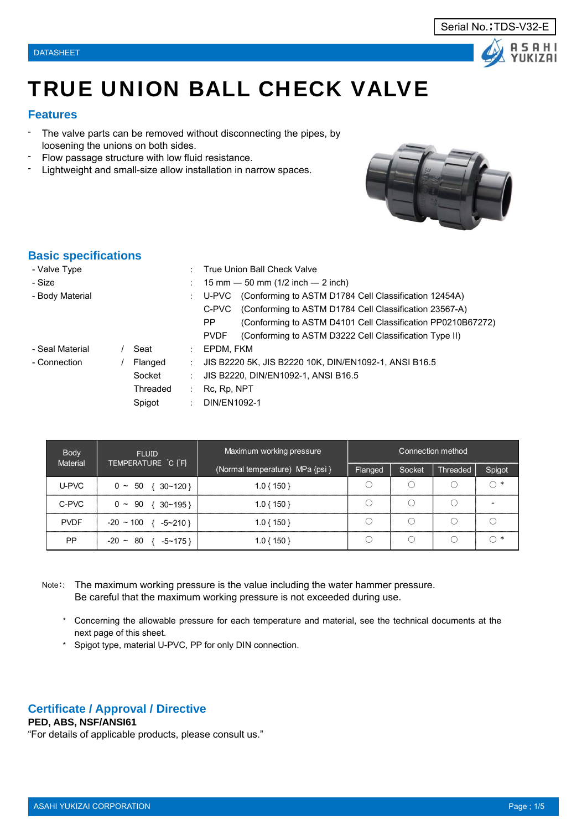



# TRUE UNION BALL CHECK VALVE

# **Features**

- The valve parts can be removed without disconnecting the pipes, by loosening the unions on both sides.
- Flow passage structure with low fluid resistance.
- Lightweight and small-size allow installation in narrow spaces.



# **Basic specifications**

| - Valve Type    |                          | True Union Ball Check Valve                                                              |
|-----------------|--------------------------|------------------------------------------------------------------------------------------|
| - Size          |                          | 15 mm $-$ 50 mm (1/2 inch $-$ 2 inch)                                                    |
| - Body Material |                          | U-PVC (Conforming to ASTM D1784 Cell Classification 12454A)<br>$\mathbb{Z}^{\mathbb{Z}}$ |
|                 |                          | C-PVC (Conforming to ASTM D1784 Cell Classification 23567-A)                             |
|                 |                          | (Conforming to ASTM D4101 Cell Classification PP0210B67272)<br>PP.                       |
|                 |                          | (Conforming to ASTM D3222 Cell Classification Type II)<br><b>PVDF</b>                    |
| - Seal Material | Seat<br>÷.               | EPDM. FKM                                                                                |
| - Connection    | Flanged<br>$\mathcal{L}$ | JIS B2220 5K, JIS B2220 10K, DIN/EN1092-1, ANSI B16.5                                    |
|                 | Socket                   | JIS B2220, DIN/EN1092-1, ANSI B16.5                                                      |
|                 | Threaded                 | Rc, Rp, NPT                                                                              |
|                 | Spigot                   | DIN/EN1092-1<br>di la                                                                    |

| <b>Body</b>     | <b>FLUID</b>                     | Maximum working pressure        | Connection method |        |          |                          |  |  |  |  |  |
|-----------------|----------------------------------|---------------------------------|-------------------|--------|----------|--------------------------|--|--|--|--|--|
| <b>Material</b> | TEMPERATURE C [F]                | (Normal temperature) MPa {psi } | <b>Flanged</b>    | Socket | Threaded | Spigot                   |  |  |  |  |  |
| U-PVC           | $0 \sim 50 \{30 \sim 120\}$      | $1.0\{150\}$                    |                   |        |          | $\bigcap$ *              |  |  |  |  |  |
| C-PVC           | $0 \sim 90 \{30 \sim 195\}$      | $1.0\{150\}$                    |                   |        | ( )      | $\overline{\phantom{a}}$ |  |  |  |  |  |
| <b>PVDF</b>     | $-20 \sim 100$ { $-5 \sim 210$ } | $1.0\{150\}$                    |                   |        |          |                          |  |  |  |  |  |
| PP              | $-20 \sim 80$ { $-5 \sim 175$ }  | $1.0\{150\}$                    |                   |        |          | $\ast$<br>∩              |  |  |  |  |  |

- Note:: The maximum working pressure is the value including the water hammer pressure. Be careful that the maximum working pressure is not exceeded during use.
	- \* Concerning the allowable pressure for each temperature and material, see the technical documents at the next page of this sheet.
	- \* Spigot type, material U-PVC, PP for only DIN connection.

# **Certificate / Approval / Directive**

# **PED, ABS, NSF/ANSI61**

"For details of applicable products, please consult us."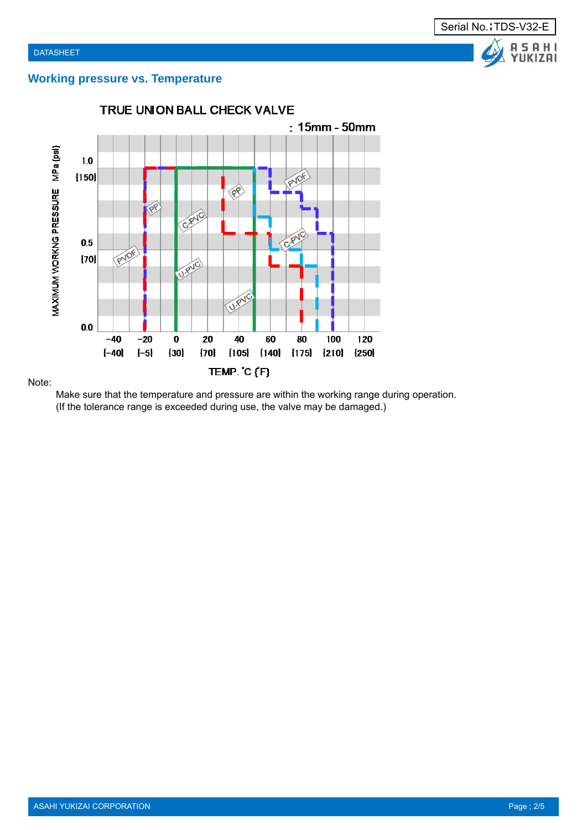

# **Working pressure vs. Temperature**



### Note:

Make sure that the temperature and pressure are within the working range during operation. (If the tolerance range is exceeded during use, the valve may be damaged.)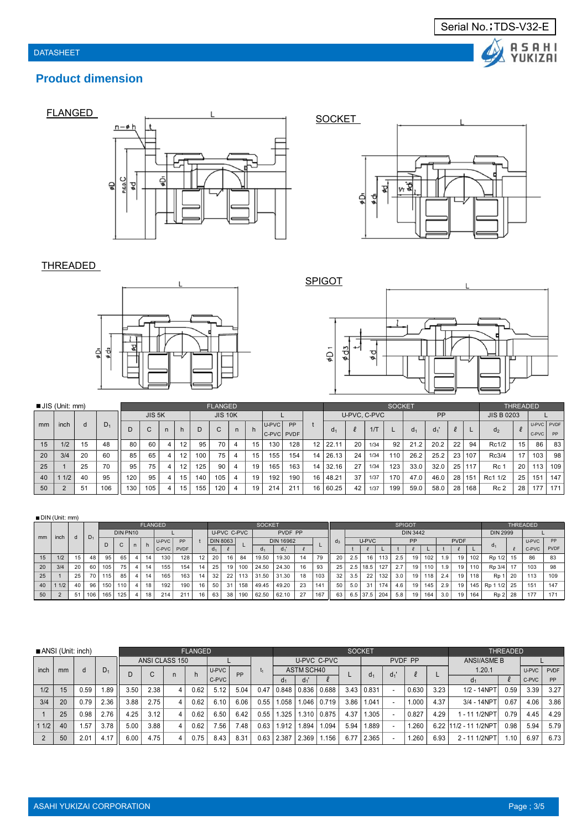

# **Product dimension**





## THREADED





|    | $\blacksquare$ JIS (Unit: mm) |    |       | <b>FLANGED</b><br><b>SOCKET</b> |        |   |    |                |     |                |    |            |      |    |                | THREADED     |      |                |           |       |    |                   |                 |       |            |     |
|----|-------------------------------|----|-------|---------------------------------|--------|---|----|----------------|-----|----------------|----|------------|------|----|----------------|--------------|------|----------------|-----------|-------|----|-------------------|-----------------|-------|------------|-----|
|    |                               |    |       |                                 | JIS 5K |   |    | <b>JIS 10K</b> |     |                |    |            |      |    |                | U-PVC, C-PVC |      |                | <b>PP</b> |       |    | <b>JIS B 0203</b> |                 |       |            |     |
| mm | inch                          | d  | $D_1$ |                                 | C      | n | h. | D              | C   |                | h  | U-PVC      | PP   |    |                | $\ell$       | 1/T  |                |           | $d_1$ | Ł  |                   |                 |       | U-PVC PVDF |     |
|    |                               |    |       |                                 |        |   |    |                |     |                |    | C-PVC PVDF |      |    | d <sub>1</sub> |              |      | Q <sub>1</sub> |           |       |    | d <sub>2</sub>    |                 | C-PVC | PP         |     |
| 15 | 1/2                           | 15 | 48    | 80                              | 60     | 4 | 12 | 95             | 70  | 4              | 15 | 130        | 128  | 12 | 22.11          | 20           | 1/34 | 92             | 21.2      | 20.2  | 22 | 94                | Rc1/2           | 15    | 86         | 83  |
| 20 | 3/4                           | 20 | 60    | 85                              | 65     | 4 | 12 | 100            | 75  | -4             | 15 | 155        | 154  | 14 | 26.13          | 24           | 1/34 | 110            | 26.2      | 25.2  | 23 | 107               | Rc3/4           | 17    | 103        | 98  |
| 25 |                               | 25 | 70    | 95                              | 75     | 4 | 12 | 125            | 90  | 4              | 19 | 165        | 163. | 14 | 32.16          | 27           | 1/34 | 123            | 33.0      | 32.0  | 25 | 117               | Rc 1            | 20    | 113        | 109 |
| 40 | 1/2                           | 40 | 95    | 120                             | 95     | 4 | 15 | 140            | 105 | $\overline{4}$ | 19 | 192        | 190  | 16 | 48.21          | 37           | 1/37 | 170            | 47.0      | 46.0  | 28 | 151               | Rc1 1/2         | 25    | 151        | 147 |
| 50 | $\Omega$                      | 51 | 106   | 130                             | 105    | 4 | 15 | 155            | 120 | 4              | 19 | 214        | 211  | 16 | 60.25          | 42           | 1/37 | 199            | 59.0      | 58.0  | 28 | 168               | Rc <sub>2</sub> | 28    | 177        | 171 |

|    | DIN (Unit: mm) |                                                                   |       |     |          |              |       |                |     |                |             |                |                |               |         |    |       |               |     |            |     |     |                 |      |     |                 |     |                  |       |      |     |
|----|----------------|-------------------------------------------------------------------|-------|-----|----------|--------------|-------|----------------|-----|----------------|-------------|----------------|----------------|---------------|---------|----|-------|---------------|-----|------------|-----|-----|-----------------|------|-----|-----------------|-----|------------------|-------|------|-----|
|    |                |                                                                   |       |     |          |              |       | <b>FLANGED</b> |     |                |             |                |                | <b>SOCKET</b> |         |    |       | <b>SPIGOT</b> |     |            |     |     |                 |      |     | <b>THREADED</b> |     |                  |       |      |     |
| mm | inch           |                                                                   | $D_1$ |     | DIN PN10 |              |       |                |     |                | U-PVC C-PVC |                |                |               | PVDF PP |    |       |               |     |            |     |     | <b>DIN 3442</b> |      |     |                 |     | <b>DIN 2999</b>  |       |      |     |
|    |                | d<br><b>DIN 8063</b><br><b>DIN 16962</b><br>PP<br>U-PVC<br>D<br>C |       |     | $q_3$    |              | U-PVC |                | PP  |                |             | <b>PVDF</b>    |                |               |         |    | U-PVC | <b>PP</b>     |     |            |     |     |                 |      |     |                 |     |                  |       |      |     |
|    |                |                                                                   |       |     | n.       | <sub>n</sub> | C-PVC | <b>PVDF</b>    |     | d <sub>1</sub> |             |                | Q <sub>1</sub> | $d_1$         |         |    |       |               |     |            |     |     |                 |      |     |                 |     |                  | C-PVC | PVDF |     |
| 15 | 1/2            | 15                                                                | 48    | 95  | 65       |              | 14    | 130            | 128 | 12             | 20          | 16             | 84             | 19.50         | 19.30   | 14 | 79    | 20            | 2.5 | 16         | 113 | 2.5 | 19              | 102  | 1.9 | 19              | 102 | Rp 1/2           | 15    | 86   | 83  |
| 20 | 3/4            | 20                                                                | 60    | 105 | 75       | 4            | 14    | 155            | 154 | 14             | 25          | 19             | 100            | 24.50         | 24.30   | 16 | 93    | 25            | 2.5 | 18.5       | 127 | 2.7 | 19              | 1101 | 1.9 | 19              | 110 | Rp 3/4           |       | 103  | 98  |
| 25 |                | 25                                                                | 70    | 115 | 85       |              | 14    | 165            | 163 | 14             | 32          | 22             | 113            | 31.50         | 31.30   | 18 | 103   | 32            | 3.5 | 22         | 132 | 3.0 | 19              | 118  | 2.4 | 19              | 118 | R <sub>p</sub>   | 20    | 113  | 109 |
| 40 | 1/2            | 40                                                                | 96    | 150 | 110      |              | 18    | 192            | 190 | 16             | 50          | 3 <sup>1</sup> | 158            | 49.45         | 49.20   | 23 | 141   | 50            | 5.0 | 31         | 174 | 4.6 | 19              | 145  | 2.9 | 19              | 145 | Rp 1 1/2         | 25    | 151  | 147 |
| 50 |                | 51                                                                | 106   | 165 | 125      |              | 18    | 214            | 211 | 16             | 63          | 38             | 190            | 62.50         | 62.10   | 27 | 167   | 63            |     | $6.5$ 37.5 | 204 | 5.8 | 19              | 164  | 3.0 | 19              | 164 | R <sub>p</sub> 2 | 28    | 177  | 171 |

|      |    | ANSI (Unit: inch)<br><b>FLANGED</b><br><b>SOCKET</b> |      |      |        |                |      |                   |       |      |       | <b>THREADED</b> |             |      |                   |                |         |      |                       |      |       |             |
|------|----|------------------------------------------------------|------|------|--------|----------------|------|-------------------|-------|------|-------|-----------------|-------------|------|-------------------|----------------|---------|------|-----------------------|------|-------|-------------|
|      |    |                                                      |      |      |        | ANSI CLASS 150 |      |                   |       |      |       |                 | U-PVC C-PVC |      |                   |                | PVDF PP |      | <b>ANSI/ASME B</b>    |      |       |             |
| inch | mm | d                                                    | D1   |      | $\sim$ |                |      | U-PVC             | PP    | Ŀ1   |       | ASTM SCH40      |             |      |                   | d <sub>1</sub> |         |      | 1.20.1                |      | U-PVC | <b>PVDF</b> |
|      |    |                                                      |      |      |        |                |      | C-PVC             |       |      | a1    | $d_1$           |             |      | d <sub>1</sub>    |                |         |      |                       |      | C-PVC | PP          |
| 1/2  | 15 | 0.59                                                 | . 89 | 3.50 | 2.38   | 4              | 0.62 | 5.12              | 5.04  | 0.47 | 0.848 | 0.836           | 0.688       |      | $3.43 \mid 0.831$ |                | 0.630   | 3.23 | 1/2 - 14NPT           | 0.59 | 3.39  | 3.27        |
| 3/4  | 20 | 0.79                                                 | 2.36 | 3.88 | 2.75   |                | 0.62 | 6.10              | 6.06  | 0.55 | .058  | .046            | 0.719       | 3.86 | 1.041             |                | 1.000   | 4.37 | 3/4 - 14NPT           | 0.67 | 4.06  | 3.86        |
|      | 25 | 0.98                                                 | 2.76 | 4.25 | 3.12   |                | 0.62 | 6.50              | 6.42  | 0.55 | .325  | .310            | 0.875       | 4.37 | 1.305             |                | 0.827   | 4.29 | 1 - 11 1/2NPT         | 0.79 | 4.45  | 4.29        |
| 11/2 | 40 | .57                                                  | 3.78 | 5.00 | 3.88   | 4              | 0.62 | 7.56 <sub>1</sub> | 7.48. | 0.63 | 1.912 | .894            | .094        | 5.94 | 889.              |                | .260    |      | 6.22 11/2 - 11 1/2NPT | 0.98 | 5.94  | 5.79        |
|      | 50 | 2.01                                                 | 4.17 | 6.00 | 4.75   |                | 0.75 | 8.43              | 8.31  | 0.63 | 2.387 | 2.369           | .156        | 6.77 | 2.365             |                | .260    | 6.93 | 1/2NPT<br>2 - 11      | .10  | 6.97  | 6.73        |